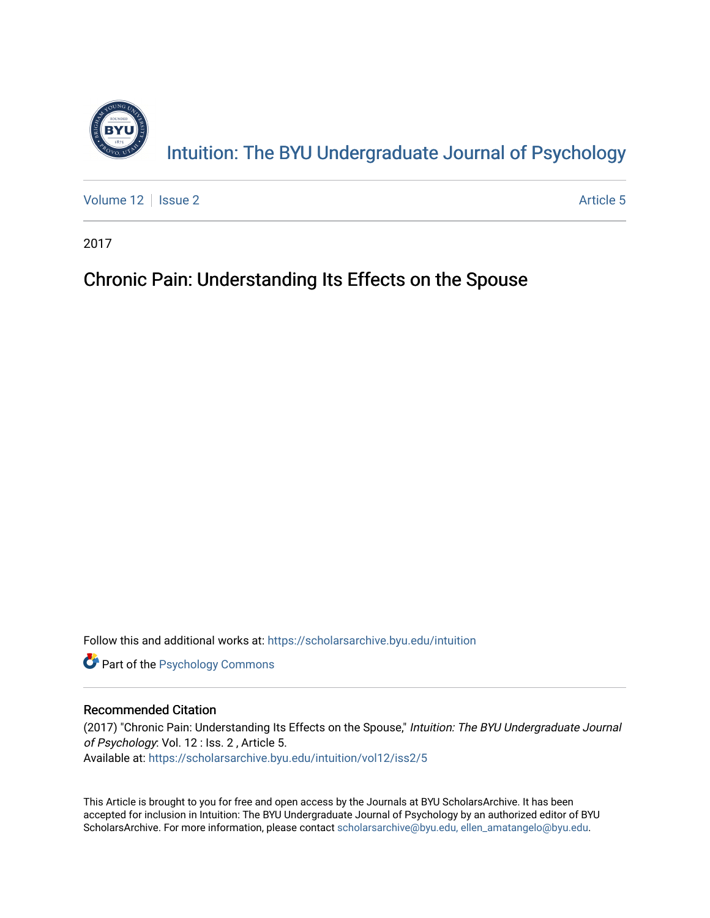

[Volume 12](https://scholarsarchive.byu.edu/intuition/vol12) | [Issue 2](https://scholarsarchive.byu.edu/intuition/vol12/iss2) Article 5

2017

# Chronic Pain: Understanding Its Effects on the Spouse

Follow this and additional works at: [https://scholarsarchive.byu.edu/intuition](https://scholarsarchive.byu.edu/intuition?utm_source=scholarsarchive.byu.edu%2Fintuition%2Fvol12%2Fiss2%2F5&utm_medium=PDF&utm_campaign=PDFCoverPages) 

**Part of the Psychology Commons** 

# Recommended Citation

(2017) "Chronic Pain: Understanding Its Effects on the Spouse," Intuition: The BYU Undergraduate Journal of Psychology: Vol. 12 : Iss. 2 , Article 5. Available at: [https://scholarsarchive.byu.edu/intuition/vol12/iss2/5](https://scholarsarchive.byu.edu/intuition/vol12/iss2/5?utm_source=scholarsarchive.byu.edu%2Fintuition%2Fvol12%2Fiss2%2F5&utm_medium=PDF&utm_campaign=PDFCoverPages) 

This Article is brought to you for free and open access by the Journals at BYU ScholarsArchive. It has been accepted for inclusion in Intuition: The BYU Undergraduate Journal of Psychology by an authorized editor of BYU ScholarsArchive. For more information, please contact [scholarsarchive@byu.edu, ellen\\_amatangelo@byu.edu.](mailto:scholarsarchive@byu.edu,%20ellen_amatangelo@byu.edu)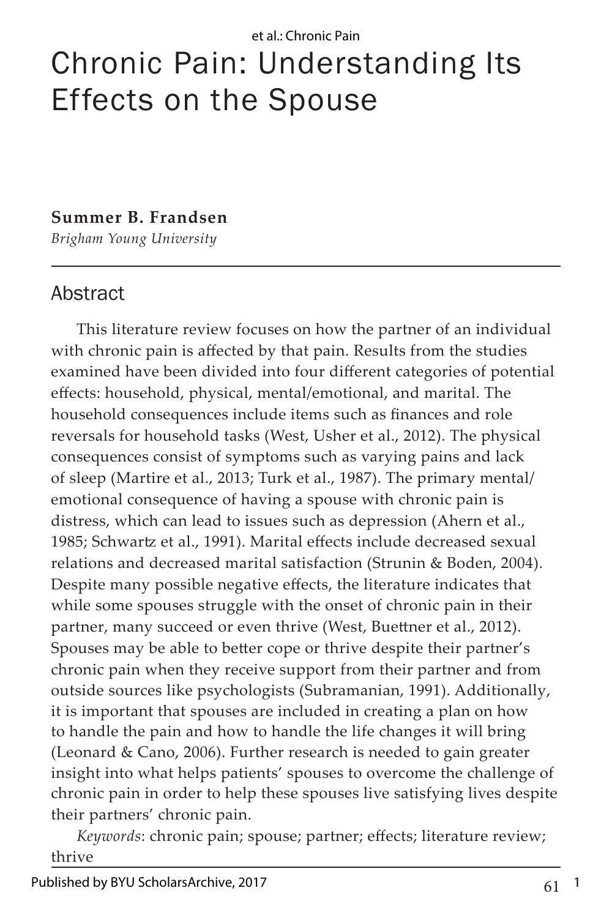# Chronic Pain: Understanding Its Effects on the Spouse

# **Summer B. Frandsen**

*Brigham Young University*

# Abstract

This literature review focuses on how the partner of an individual with chronic pain is affected by that pain. Results from the studies examined have been divided into four different categories of potential effects: household, physical, mental/emotional, and marital. The household consequences include items such as finances and role reversals for household tasks (West, Usher et al., 2012). The physical consequences consist of symptoms such as varying pains and lack of sleep (Martire et al., 2013; Turk et al., 1987). The primary mental/ emotional consequence of having a spouse with chronic pain is distress, which can lead to issues such as depression (Ahern et al., 1985; Schwartz et al., 1991). Marital effects include decreased sexual relations and decreased marital satisfaction (Strunin & Boden, 2004). Despite many possible negative effects, the literature indicates that while some spouses struggle with the onset of chronic pain in their partner, many succeed or even thrive (West, Buettner et al., 2012). Spouses may be able to better cope or thrive despite their partner's chronic pain when they receive support from their partner and from outside sources like psychologists (Subramanian, 1991). Additionally, it is important that spouses are included in creating a plan on how to handle the pain and how to handle the life changes it will bring (Leonard & Cano, 2006). Further research is needed to gain greater insight into what helps patients' spouses to overcome the challenge of chronic pain in order to help these spouses live satisfying lives despite their partners' chronic pain.

*Keywords*: chronic pain; spouse; partner; effects; literature review; thrive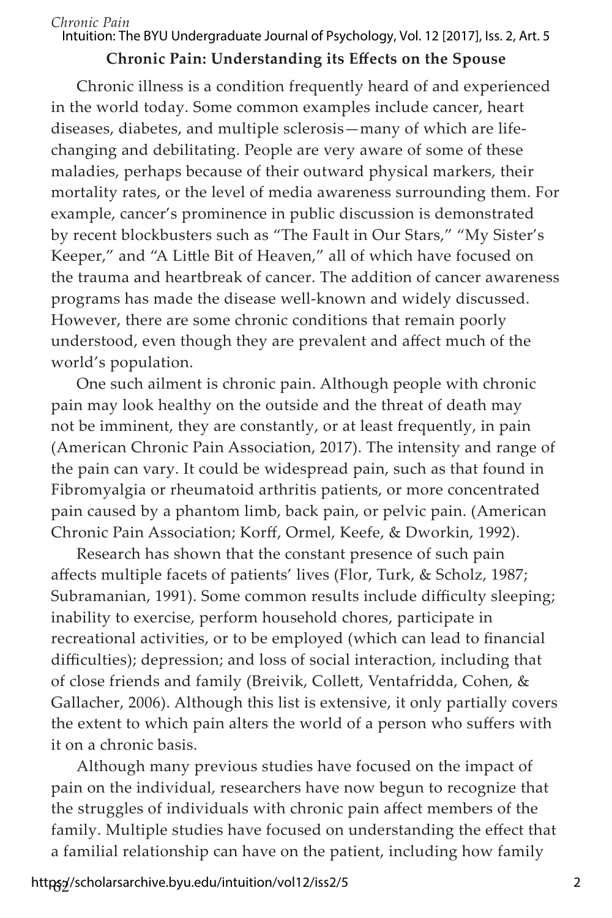#### *Chronic Pain* Intuition: The BYU Undergraduate Journal of Psychology, Vol. 12 [2017], Iss. 2, Art. 5

# **Chronic Pain: Understanding its Effects on the Spouse**

Chronic illness is a condition frequently heard of and experienced in the world today. Some common examples include cancer, heart diseases, diabetes, and multiple sclerosis—many of which are lifechanging and debilitating. People are very aware of some of these maladies, perhaps because of their outward physical markers, their mortality rates, or the level of media awareness surrounding them. For example, cancer's prominence in public discussion is demonstrated by recent blockbusters such as "The Fault in Our Stars," "My Sister's Keeper," and "A Little Bit of Heaven," all of which have focused on the trauma and heartbreak of cancer. The addition of cancer awareness programs has made the disease well-known and widely discussed. However, there are some chronic conditions that remain poorly understood, even though they are prevalent and affect much of the world's population.

One such ailment is chronic pain. Although people with chronic pain may look healthy on the outside and the threat of death may not be imminent, they are constantly, or at least frequently, in pain (American Chronic Pain Association, 2017). The intensity and range of the pain can vary. It could be widespread pain, such as that found in Fibromyalgia or rheumatoid arthritis patients, or more concentrated pain caused by a phantom limb, back pain, or pelvic pain. (American Chronic Pain Association; Korff, Ormel, Keefe, & Dworkin, 1992).

Research has shown that the constant presence of such pain affects multiple facets of patients' lives (Flor, Turk, & Scholz, 1987; Subramanian, 1991). Some common results include difficulty sleeping; inability to exercise, perform household chores, participate in recreational activities, or to be employed (which can lead to financial difficulties); depression; and loss of social interaction, including that of close friends and family (Breivik, Collett, Ventafridda, Cohen, & Gallacher, 2006). Although this list is extensive, it only partially covers the extent to which pain alters the world of a person who suffers with it on a chronic basis.

Although many previous studies have focused on the impact of pain on the individual, researchers have now begun to recognize that the struggles of individuals with chronic pain affect members of the family. Multiple studies have focused on understanding the effect that a familial relationship can have on the patient, including how family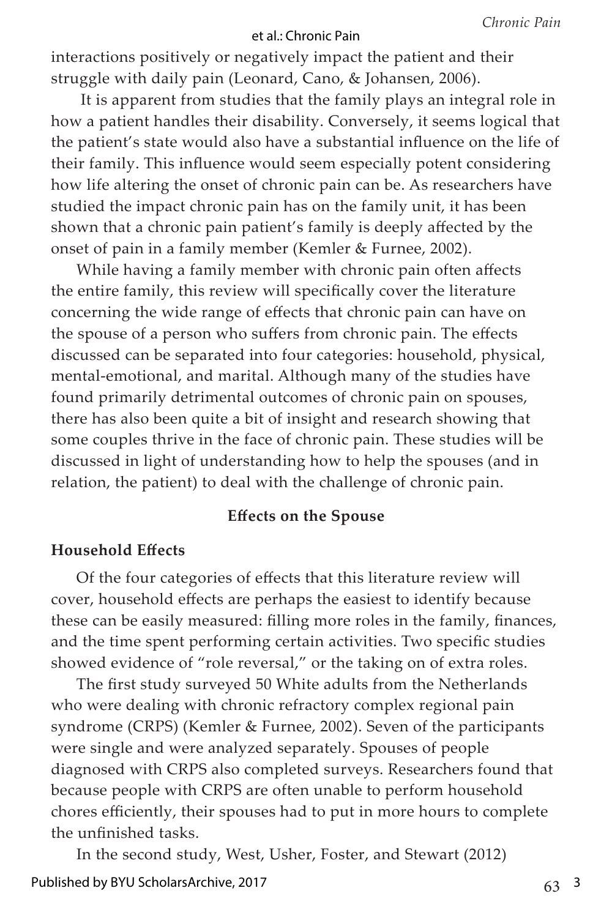interactions positively or negatively impact the patient and their struggle with daily pain (Leonard, Cano, & Johansen, 2006).

 It is apparent from studies that the family plays an integral role in how a patient handles their disability. Conversely, it seems logical that the patient's state would also have a substantial influence on the life of their family. This influence would seem especially potent considering how life altering the onset of chronic pain can be. As researchers have studied the impact chronic pain has on the family unit, it has been shown that a chronic pain patient's family is deeply affected by the onset of pain in a family member (Kemler & Furnee, 2002).

While having a family member with chronic pain often affects the entire family, this review will specifically cover the literature concerning the wide range of effects that chronic pain can have on the spouse of a person who suffers from chronic pain. The effects discussed can be separated into four categories: household, physical, mental-emotional, and marital. Although many of the studies have found primarily detrimental outcomes of chronic pain on spouses, there has also been quite a bit of insight and research showing that some couples thrive in the face of chronic pain. These studies will be discussed in light of understanding how to help the spouses (and in relation, the patient) to deal with the challenge of chronic pain.

# **Effects on the Spouse**

## **Household Effects**

Of the four categories of effects that this literature review will cover, household effects are perhaps the easiest to identify because these can be easily measured: filling more roles in the family, finances, and the time spent performing certain activities. Two specific studies showed evidence of "role reversal," or the taking on of extra roles.

The first study surveyed 50 White adults from the Netherlands who were dealing with chronic refractory complex regional pain syndrome (CRPS) (Kemler & Furnee, 2002). Seven of the participants were single and were analyzed separately. Spouses of people diagnosed with CRPS also completed surveys. Researchers found that because people with CRPS are often unable to perform household chores efficiently, their spouses had to put in more hours to complete the unfinished tasks.

In the second study, West, Usher, Foster, and Stewart (2012)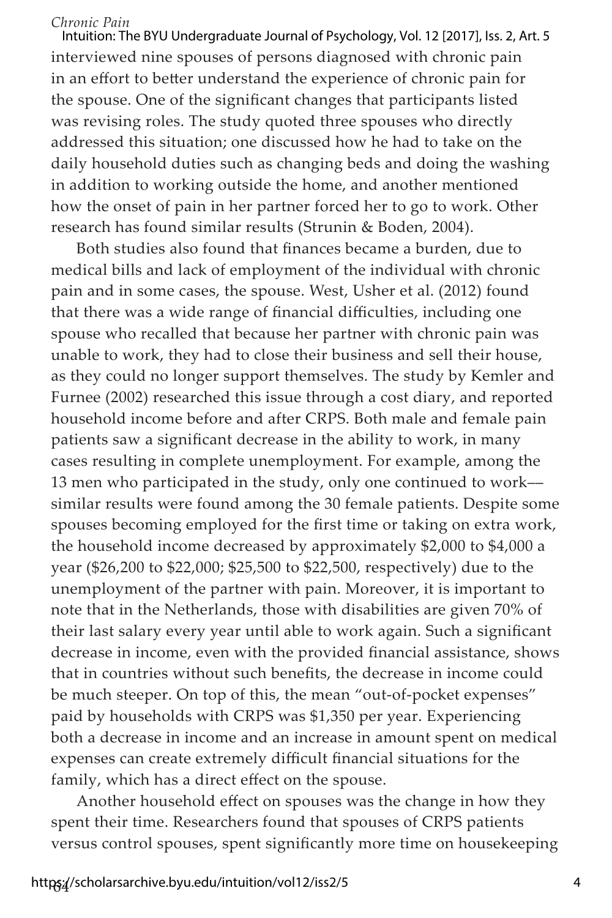interviewed nine spouses of persons diagnosed with chronic pain in an effort to better understand the experience of chronic pain for the spouse. One of the significant changes that participants listed was revising roles. The study quoted three spouses who directly addressed this situation; one discussed how he had to take on the daily household duties such as changing beds and doing the washing in addition to working outside the home, and another mentioned how the onset of pain in her partner forced her to go to work. Other research has found similar results (Strunin & Boden, 2004). Intuition: The BYU Undergraduate Journal of Psychology, Vol. 12 [2017], Iss. 2, Art. 5

Both studies also found that finances became a burden, due to medical bills and lack of employment of the individual with chronic pain and in some cases, the spouse. West, Usher et al. (2012) found that there was a wide range of financial difficulties, including one spouse who recalled that because her partner with chronic pain was unable to work, they had to close their business and sell their house, as they could no longer support themselves. The study by Kemler and Furnee (2002) researched this issue through a cost diary, and reported household income before and after CRPS. Both male and female pain patients saw a significant decrease in the ability to work, in many cases resulting in complete unemployment. For example, among the 13 men who participated in the study, only one continued to work–– similar results were found among the 30 female patients. Despite some spouses becoming employed for the first time or taking on extra work, the household income decreased by approximately \$2,000 to \$4,000 a year (\$26,200 to \$22,000; \$25,500 to \$22,500, respectively) due to the unemployment of the partner with pain. Moreover, it is important to note that in the Netherlands, those with disabilities are given 70% of their last salary every year until able to work again. Such a significant decrease in income, even with the provided financial assistance, shows that in countries without such benefits, the decrease in income could be much steeper. On top of this, the mean "out-of-pocket expenses" paid by households with CRPS was \$1,350 per year. Experiencing both a decrease in income and an increase in amount spent on medical expenses can create extremely difficult financial situations for the family, which has a direct effect on the spouse.

Another household effect on spouses was the change in how they spent their time. Researchers found that spouses of CRPS patients versus control spouses, spent significantly more time on housekeeping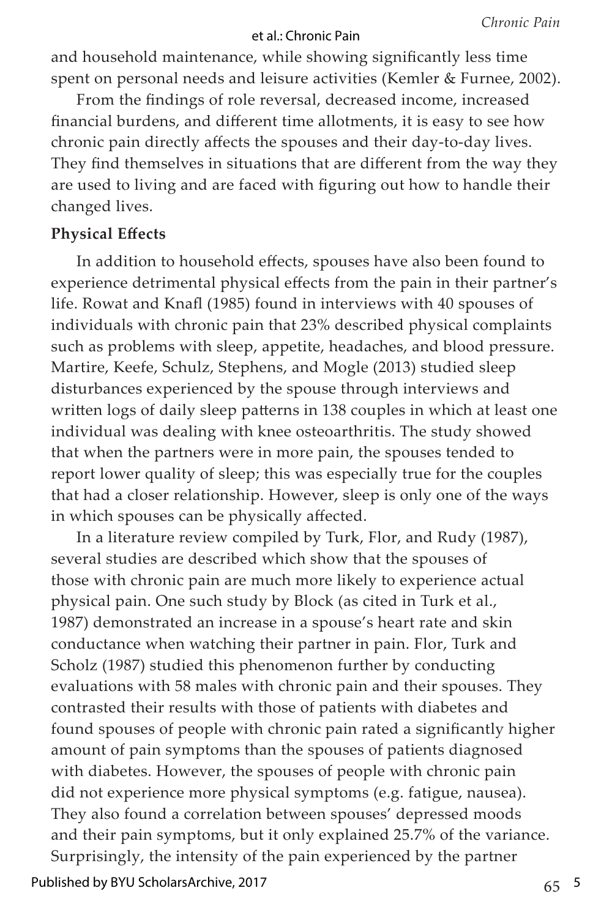and household maintenance, while showing significantly less time spent on personal needs and leisure activities (Kemler & Furnee, 2002).

From the findings of role reversal, decreased income, increased financial burdens, and different time allotments, it is easy to see how chronic pain directly affects the spouses and their day-to-day lives. They find themselves in situations that are different from the way they are used to living and are faced with figuring out how to handle their changed lives.

## **Physical Effects**

In addition to household effects, spouses have also been found to experience detrimental physical effects from the pain in their partner's life. Rowat and Knafl (1985) found in interviews with 40 spouses of individuals with chronic pain that 23% described physical complaints such as problems with sleep, appetite, headaches, and blood pressure. Martire, Keefe, Schulz, Stephens, and Mogle (2013) studied sleep disturbances experienced by the spouse through interviews and written logs of daily sleep patterns in 138 couples in which at least one individual was dealing with knee osteoarthritis. The study showed that when the partners were in more pain, the spouses tended to report lower quality of sleep; this was especially true for the couples that had a closer relationship. However, sleep is only one of the ways in which spouses can be physically affected.

In a literature review compiled by Turk, Flor, and Rudy (1987), several studies are described which show that the spouses of those with chronic pain are much more likely to experience actual physical pain. One such study by Block (as cited in Turk et al., 1987) demonstrated an increase in a spouse's heart rate and skin conductance when watching their partner in pain. Flor, Turk and Scholz (1987) studied this phenomenon further by conducting evaluations with 58 males with chronic pain and their spouses. They contrasted their results with those of patients with diabetes and found spouses of people with chronic pain rated a significantly higher amount of pain symptoms than the spouses of patients diagnosed with diabetes. However, the spouses of people with chronic pain did not experience more physical symptoms (e.g. fatigue, nausea). They also found a correlation between spouses' depressed moods and their pain symptoms, but it only explained 25.7% of the variance. Surprisingly, the intensity of the pain experienced by the partner

Published by BYU ScholarsArchive, 2017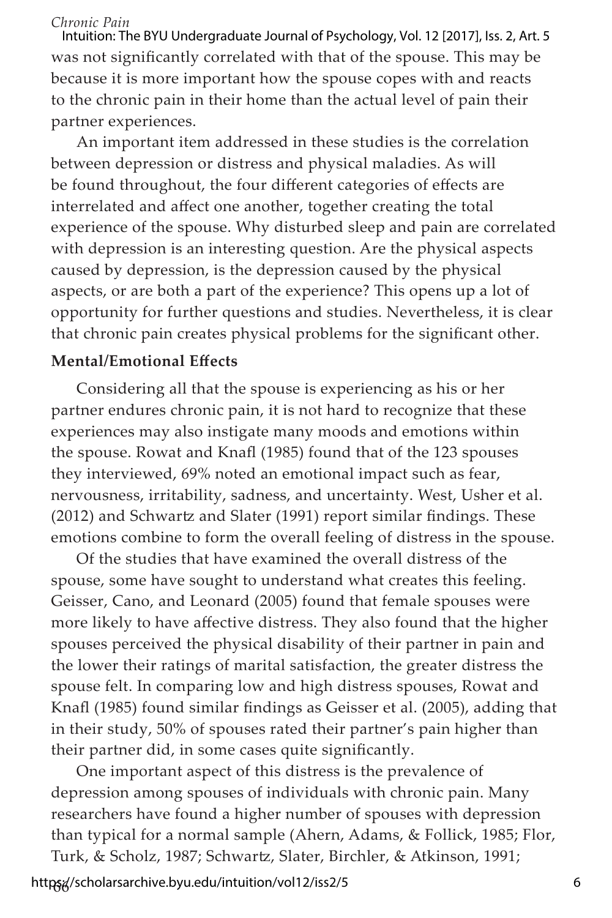was not significantly correlated with that of the spouse. This may be because it is more important how the spouse copes with and reacts to the chronic pain in their home than the actual level of pain their partner experiences. Intuition: The BYU Undergraduate Journal of Psychology, Vol. 12 [2017], Iss. 2, Art. 5

An important item addressed in these studies is the correlation between depression or distress and physical maladies. As will be found throughout, the four different categories of effects are interrelated and affect one another, together creating the total experience of the spouse. Why disturbed sleep and pain are correlated with depression is an interesting question. Are the physical aspects caused by depression, is the depression caused by the physical aspects, or are both a part of the experience? This opens up a lot of opportunity for further questions and studies. Nevertheless, it is clear that chronic pain creates physical problems for the significant other.

## **Mental/Emotional Effects**

Considering all that the spouse is experiencing as his or her partner endures chronic pain, it is not hard to recognize that these experiences may also instigate many moods and emotions within the spouse. Rowat and Knafl (1985) found that of the 123 spouses they interviewed, 69% noted an emotional impact such as fear, nervousness, irritability, sadness, and uncertainty. West, Usher et al. (2012) and Schwartz and Slater (1991) report similar findings. These emotions combine to form the overall feeling of distress in the spouse.

Of the studies that have examined the overall distress of the spouse, some have sought to understand what creates this feeling. Geisser, Cano, and Leonard (2005) found that female spouses were more likely to have affective distress. They also found that the higher spouses perceived the physical disability of their partner in pain and the lower their ratings of marital satisfaction, the greater distress the spouse felt. In comparing low and high distress spouses, Rowat and Knafl (1985) found similar findings as Geisser et al. (2005), adding that in their study, 50% of spouses rated their partner's pain higher than their partner did, in some cases quite significantly.

One important aspect of this distress is the prevalence of depression among spouses of individuals with chronic pain. Many researchers have found a higher number of spouses with depression than typical for a normal sample (Ahern, Adams, & Follick, 1985; Flor, Turk, & Scholz, 1987; Schwartz, Slater, Birchler, & Atkinson, 1991;

66 https://scholarsarchive.byu.edu/intuition/vol12/iss2/5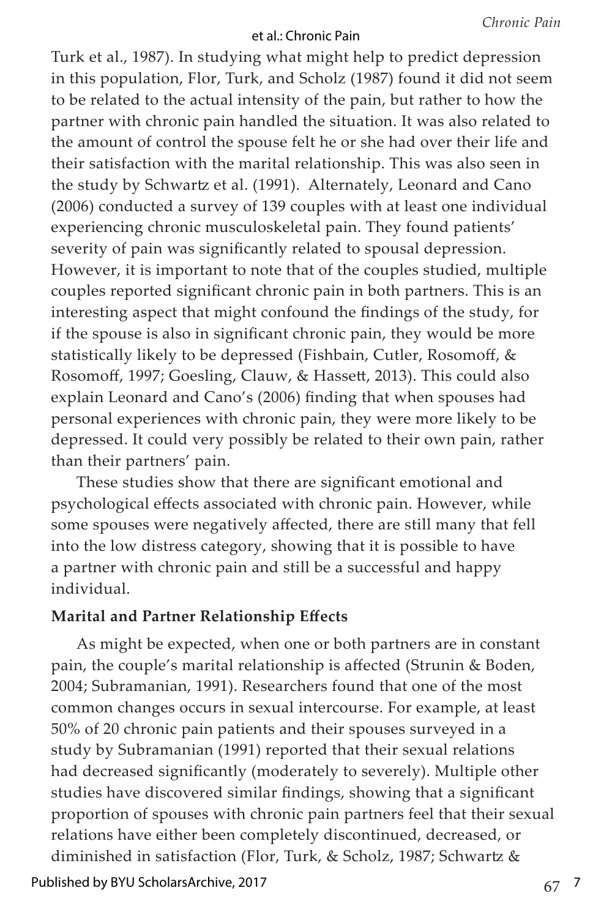Turk et al., 1987). In studying what might help to predict depression in this population, Flor, Turk, and Scholz (1987) found it did not seem to be related to the actual intensity of the pain, but rather to how the partner with chronic pain handled the situation. It was also related to the amount of control the spouse felt he or she had over their life and their satisfaction with the marital relationship. This was also seen in the study by Schwartz et al. (1991). Alternately, Leonard and Cano (2006) conducted a survey of 139 couples with at least one individual experiencing chronic musculoskeletal pain. They found patients' severity of pain was significantly related to spousal depression. However, it is important to note that of the couples studied, multiple couples reported significant chronic pain in both partners. This is an interesting aspect that might confound the findings of the study, for if the spouse is also in significant chronic pain, they would be more statistically likely to be depressed (Fishbain, Cutler, Rosomoff, & Rosomoff, 1997; Goesling, Clauw, & Hassett, 2013). This could also explain Leonard and Cano's (2006) finding that when spouses had personal experiences with chronic pain, they were more likely to be depressed. It could very possibly be related to their own pain, rather than their partners' pain.

These studies show that there are significant emotional and psychological effects associated with chronic pain. However, while some spouses were negatively affected, there are still many that fell into the low distress category, showing that it is possible to have a partner with chronic pain and still be a successful and happy individual.

## **Marital and Partner Relationship Effects**

As might be expected, when one or both partners are in constant pain, the couple's marital relationship is affected (Strunin & Boden, 2004; Subramanian, 1991). Researchers found that one of the most common changes occurs in sexual intercourse. For example, at least 50% of 20 chronic pain patients and their spouses surveyed in a study by Subramanian (1991) reported that their sexual relations had decreased significantly (moderately to severely). Multiple other studies have discovered similar findings, showing that a significant proportion of spouses with chronic pain partners feel that their sexual relations have either been completely discontinued, decreased, or diminished in satisfaction (Flor, Turk, & Scholz, 1987; Schwartz &

Published by BYU ScholarsArchive, 2017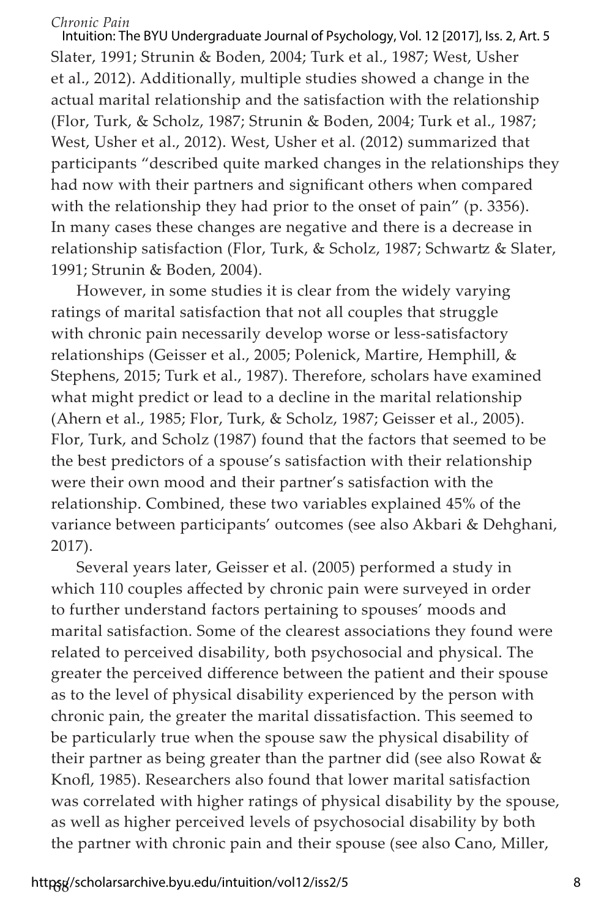Slater, 1991; Strunin & Boden, 2004; Turk et al., 1987; West, Usher et al., 2012). Additionally, multiple studies showed a change in the actual marital relationship and the satisfaction with the relationship (Flor, Turk, & Scholz, 1987; Strunin & Boden, 2004; Turk et al., 1987; West, Usher et al., 2012). West, Usher et al. (2012) summarized that participants "described quite marked changes in the relationships they had now with their partners and significant others when compared with the relationship they had prior to the onset of pain" (p. 3356). In many cases these changes are negative and there is a decrease in relationship satisfaction (Flor, Turk, & Scholz, 1987; Schwartz & Slater, 1991; Strunin & Boden, 2004). Intuition: The BYU Undergraduate Journal of Psychology, Vol. 12 [2017], Iss. 2, Art. 5

However, in some studies it is clear from the widely varying ratings of marital satisfaction that not all couples that struggle with chronic pain necessarily develop worse or less-satisfactory relationships (Geisser et al., 2005; Polenick, Martire, Hemphill, & Stephens, 2015; Turk et al., 1987). Therefore, scholars have examined what might predict or lead to a decline in the marital relationship (Ahern et al., 1985; Flor, Turk, & Scholz, 1987; Geisser et al., 2005). Flor, Turk, and Scholz (1987) found that the factors that seemed to be the best predictors of a spouse's satisfaction with their relationship were their own mood and their partner's satisfaction with the relationship. Combined, these two variables explained 45% of the variance between participants' outcomes (see also Akbari & Dehghani, 2017).

Several years later, Geisser et al. (2005) performed a study in which 110 couples affected by chronic pain were surveyed in order to further understand factors pertaining to spouses' moods and marital satisfaction. Some of the clearest associations they found were related to perceived disability, both psychosocial and physical. The greater the perceived difference between the patient and their spouse as to the level of physical disability experienced by the person with chronic pain, the greater the marital dissatisfaction. This seemed to be particularly true when the spouse saw the physical disability of their partner as being greater than the partner did (see also Rowat & Knofl, 1985). Researchers also found that lower marital satisfaction was correlated with higher ratings of physical disability by the spouse, as well as higher perceived levels of psychosocial disability by both the partner with chronic pain and their spouse (see also Cano, Miller,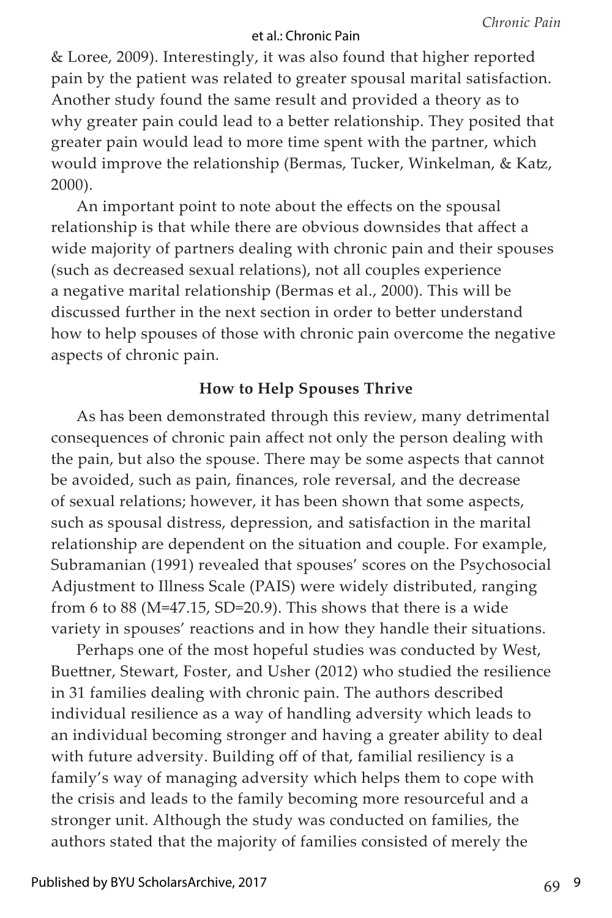& Loree, 2009). Interestingly, it was also found that higher reported pain by the patient was related to greater spousal marital satisfaction. Another study found the same result and provided a theory as to why greater pain could lead to a better relationship. They posited that greater pain would lead to more time spent with the partner, which would improve the relationship (Bermas, Tucker, Winkelman, & Katz, 2000).

An important point to note about the effects on the spousal relationship is that while there are obvious downsides that affect a wide majority of partners dealing with chronic pain and their spouses (such as decreased sexual relations), not all couples experience a negative marital relationship (Bermas et al., 2000). This will be discussed further in the next section in order to better understand how to help spouses of those with chronic pain overcome the negative aspects of chronic pain.

# **How to Help Spouses Thrive**

As has been demonstrated through this review, many detrimental consequences of chronic pain affect not only the person dealing with the pain, but also the spouse. There may be some aspects that cannot be avoided, such as pain, finances, role reversal, and the decrease of sexual relations; however, it has been shown that some aspects, such as spousal distress, depression, and satisfaction in the marital relationship are dependent on the situation and couple. For example, Subramanian (1991) revealed that spouses' scores on the Psychosocial Adjustment to Illness Scale (PAIS) were widely distributed, ranging from 6 to 88 (M=47.15, SD=20.9). This shows that there is a wide variety in spouses' reactions and in how they handle their situations.

Perhaps one of the most hopeful studies was conducted by West, Buettner, Stewart, Foster, and Usher (2012) who studied the resilience in 31 families dealing with chronic pain. The authors described individual resilience as a way of handling adversity which leads to an individual becoming stronger and having a greater ability to deal with future adversity. Building off of that, familial resiliency is a family's way of managing adversity which helps them to cope with the crisis and leads to the family becoming more resourceful and a stronger unit. Although the study was conducted on families, the authors stated that the majority of families consisted of merely the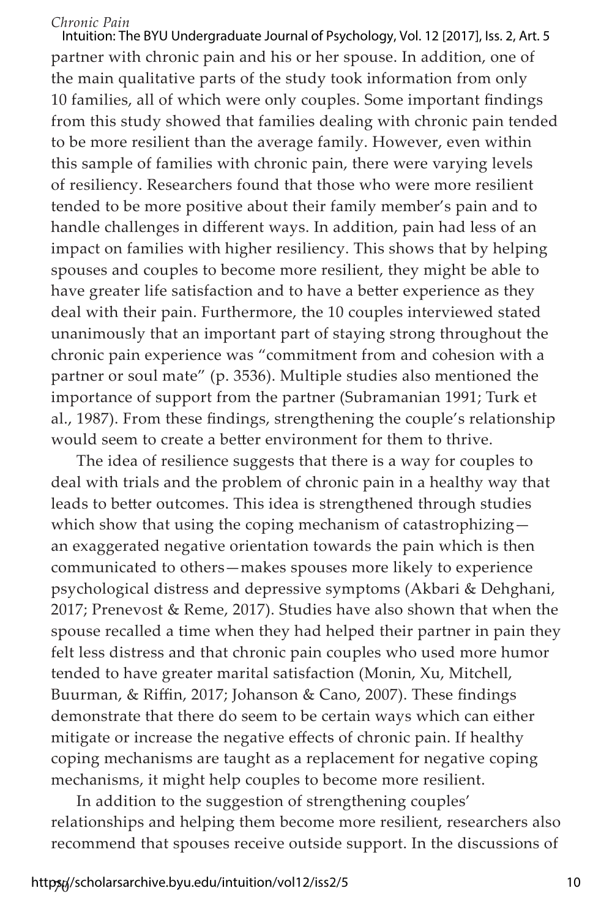partner with chronic pain and his or her spouse. In addition, one of the main qualitative parts of the study took information from only 10 families, all of which were only couples. Some important findings from this study showed that families dealing with chronic pain tended to be more resilient than the average family. However, even within this sample of families with chronic pain, there were varying levels of resiliency. Researchers found that those who were more resilient tended to be more positive about their family member's pain and to handle challenges in different ways. In addition, pain had less of an impact on families with higher resiliency. This shows that by helping spouses and couples to become more resilient, they might be able to have greater life satisfaction and to have a better experience as they deal with their pain. Furthermore, the 10 couples interviewed stated unanimously that an important part of staying strong throughout the chronic pain experience was "commitment from and cohesion with a partner or soul mate" (p. 3536). Multiple studies also mentioned the importance of support from the partner (Subramanian 1991; Turk et al., 1987). From these findings, strengthening the couple's relationship would seem to create a better environment for them to thrive. Intuition: The BYU Undergraduate Journal of Psychology, Vol. 12 [2017], Iss. 2, Art. 5

The idea of resilience suggests that there is a way for couples to deal with trials and the problem of chronic pain in a healthy way that leads to better outcomes. This idea is strengthened through studies which show that using the coping mechanism of catastrophizing an exaggerated negative orientation towards the pain which is then communicated to others—makes spouses more likely to experience psychological distress and depressive symptoms (Akbari & Dehghani, 2017; Prenevost & Reme, 2017). Studies have also shown that when the spouse recalled a time when they had helped their partner in pain they felt less distress and that chronic pain couples who used more humor tended to have greater marital satisfaction (Monin, Xu, Mitchell, Buurman, & Riffin, 2017; Johanson & Cano, 2007). These findings demonstrate that there do seem to be certain ways which can either mitigate or increase the negative effects of chronic pain. If healthy coping mechanisms are taught as a replacement for negative coping mechanisms, it might help couples to become more resilient.

In addition to the suggestion of strengthening couples' relationships and helping them become more resilient, researchers also recommend that spouses receive outside support. In the discussions of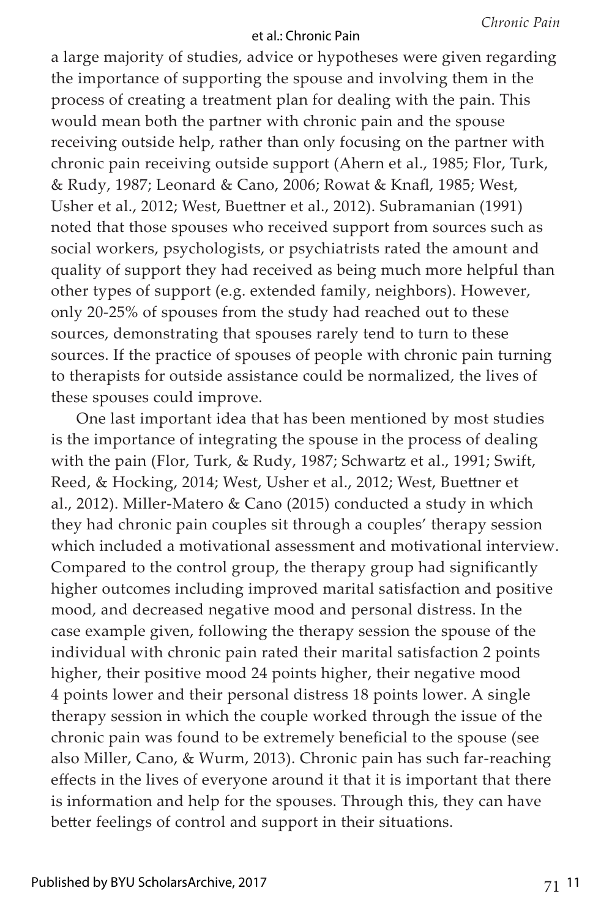a large majority of studies, advice or hypotheses were given regarding the importance of supporting the spouse and involving them in the process of creating a treatment plan for dealing with the pain. This would mean both the partner with chronic pain and the spouse receiving outside help, rather than only focusing on the partner with chronic pain receiving outside support (Ahern et al., 1985; Flor, Turk, & Rudy, 1987; Leonard & Cano, 2006; Rowat & Knafl, 1985; West, Usher et al., 2012; West, Buettner et al., 2012). Subramanian (1991) noted that those spouses who received support from sources such as social workers, psychologists, or psychiatrists rated the amount and quality of support they had received as being much more helpful than other types of support (e.g. extended family, neighbors). However, only 20-25% of spouses from the study had reached out to these sources, demonstrating that spouses rarely tend to turn to these sources. If the practice of spouses of people with chronic pain turning to therapists for outside assistance could be normalized, the lives of these spouses could improve.

One last important idea that has been mentioned by most studies is the importance of integrating the spouse in the process of dealing with the pain (Flor, Turk, & Rudy, 1987; Schwartz et al., 1991; Swift, Reed, & Hocking, 2014; West, Usher et al., 2012; West, Buettner et al., 2012). Miller-Matero & Cano (2015) conducted a study in which they had chronic pain couples sit through a couples' therapy session which included a motivational assessment and motivational interview. Compared to the control group, the therapy group had significantly higher outcomes including improved marital satisfaction and positive mood, and decreased negative mood and personal distress. In the case example given, following the therapy session the spouse of the individual with chronic pain rated their marital satisfaction 2 points higher, their positive mood 24 points higher, their negative mood 4 points lower and their personal distress 18 points lower. A single therapy session in which the couple worked through the issue of the chronic pain was found to be extremely beneficial to the spouse (see also Miller, Cano, & Wurm, 2013). Chronic pain has such far-reaching effects in the lives of everyone around it that it is important that there is information and help for the spouses. Through this, they can have better feelings of control and support in their situations.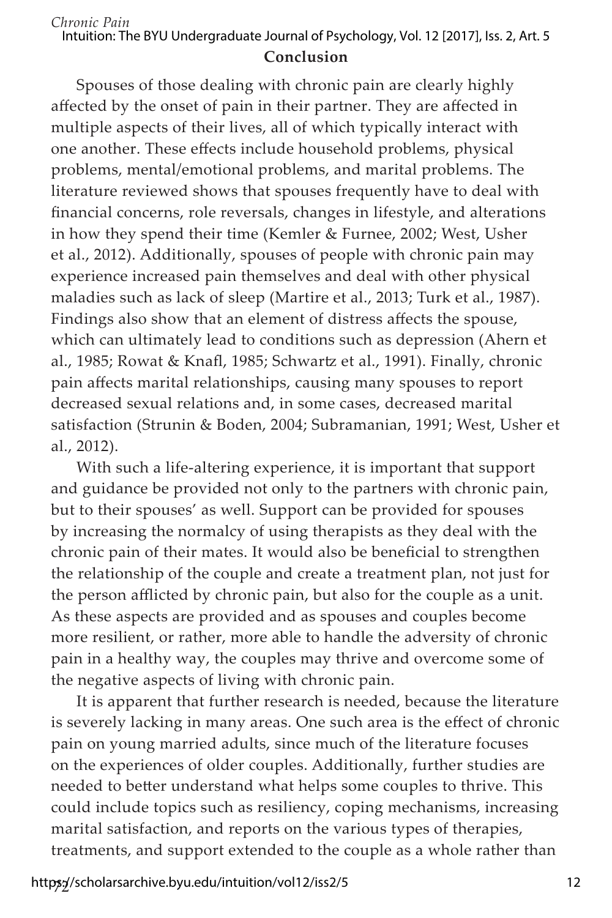#### **Conclusion** *Chronic Pain* Intuition: The BYU Undergraduate Journal of Psychology, Vol. 12 [2017], Iss. 2, Art. 5

Spouses of those dealing with chronic pain are clearly highly affected by the onset of pain in their partner. They are affected in multiple aspects of their lives, all of which typically interact with one another. These effects include household problems, physical problems, mental/emotional problems, and marital problems. The literature reviewed shows that spouses frequently have to deal with financial concerns, role reversals, changes in lifestyle, and alterations in how they spend their time (Kemler & Furnee, 2002; West, Usher et al., 2012). Additionally, spouses of people with chronic pain may experience increased pain themselves and deal with other physical maladies such as lack of sleep (Martire et al., 2013; Turk et al., 1987). Findings also show that an element of distress affects the spouse, which can ultimately lead to conditions such as depression (Ahern et al., 1985; Rowat & Knafl, 1985; Schwartz et al., 1991). Finally, chronic pain affects marital relationships, causing many spouses to report decreased sexual relations and, in some cases, decreased marital satisfaction (Strunin & Boden, 2004; Subramanian, 1991; West, Usher et al., 2012).

With such a life-altering experience, it is important that support and guidance be provided not only to the partners with chronic pain, but to their spouses' as well. Support can be provided for spouses by increasing the normalcy of using therapists as they deal with the chronic pain of their mates. It would also be beneficial to strengthen the relationship of the couple and create a treatment plan, not just for the person afflicted by chronic pain, but also for the couple as a unit. As these aspects are provided and as spouses and couples become more resilient, or rather, more able to handle the adversity of chronic pain in a healthy way, the couples may thrive and overcome some of the negative aspects of living with chronic pain.

It is apparent that further research is needed, because the literature is severely lacking in many areas. One such area is the effect of chronic pain on young married adults, since much of the literature focuses on the experiences of older couples. Additionally, further studies are needed to better understand what helps some couples to thrive. This could include topics such as resiliency, coping mechanisms, increasing marital satisfaction, and reports on the various types of therapies, treatments, and support extended to the couple as a whole rather than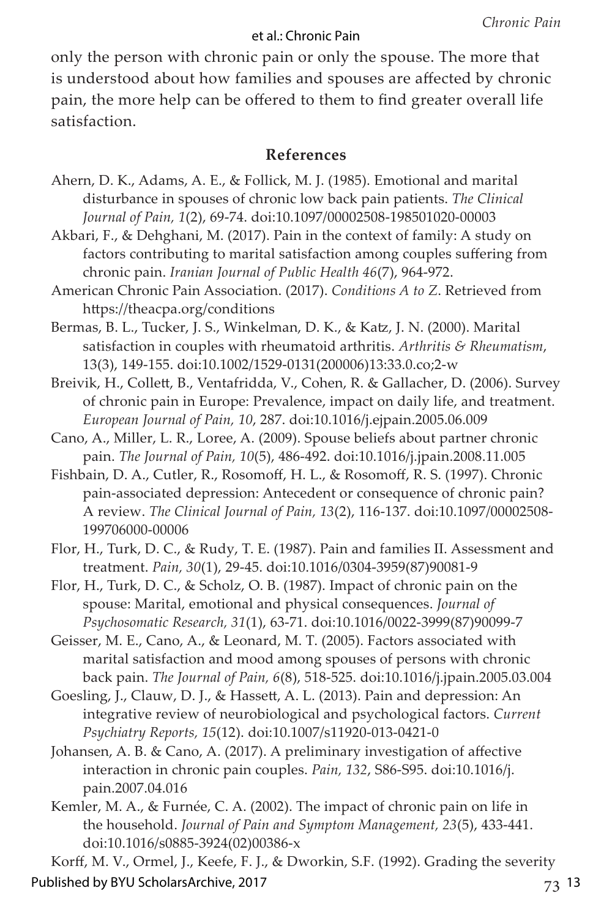only the person with chronic pain or only the spouse. The more that is understood about how families and spouses are affected by chronic pain, the more help can be offered to them to find greater overall life satisfaction.

#### **References**

- Ahern, D. K., Adams, A. E., & Follick, M. J. (1985). Emotional and marital disturbance in spouses of chronic low back pain patients. *The Clinical Journal of Pain, 1*(2), 69-74. doi:10.1097/00002508-198501020-00003
- Akbari, F., & Dehghani, M. (2017). Pain in the context of family: A study on factors contributing to marital satisfaction among couples suffering from chronic pain. *Iranian Journal of Public Health 46*(7), 964-972.
- American Chronic Pain Association. (2017). *Conditions A to Z*. Retrieved from https://theacpa.org/conditions
- Bermas, B. L., Tucker, J. S., Winkelman, D. K., & Katz, J. N. (2000). Marital satisfaction in couples with rheumatoid arthritis. *Arthritis & Rheumatism*, 13(3), 149-155. doi:10.1002/1529-0131(200006)13:33.0.co;2-w
- Breivik, H., Collett, B., Ventafridda, V., Cohen, R. & Gallacher, D. (2006). Survey of chronic pain in Europe: Prevalence, impact on daily life, and treatment. *European Journal of Pain, 10*, 287. doi:10.1016/j.ejpain.2005.06.009
- Cano, A., Miller, L. R., Loree, A. (2009). Spouse beliefs about partner chronic pain. *The Journal of Pain, 10*(5), 486-492. doi:10.1016/j.jpain.2008.11.005
- Fishbain, D. A., Cutler, R., Rosomoff, H. L., & Rosomoff, R. S. (1997). Chronic pain-associated depression: Antecedent or consequence of chronic pain? A review. *The Clinical Journal of Pain, 13*(2), 116-137. doi:10.1097/00002508- 199706000-00006
- Flor, H., Turk, D. C., & Rudy, T. E. (1987). Pain and families II. Assessment and treatment. *Pain, 30*(1), 29-45. doi:10.1016/0304-3959(87)90081-9
- Flor, H., Turk, D. C., & Scholz, O. B. (1987). Impact of chronic pain on the spouse: Marital, emotional and physical consequences. *Journal of Psychosomatic Research, 31*(1), 63-71. doi:10.1016/0022-3999(87)90099-7
- Geisser, M. E., Cano, A., & Leonard, M. T. (2005). Factors associated with marital satisfaction and mood among spouses of persons with chronic back pain. *The Journal of Pain, 6*(8), 518-525. doi:10.1016/j.jpain.2005.03.004
- Goesling, J., Clauw, D. J., & Hassett, A. L. (2013). Pain and depression: An integrative review of neurobiological and psychological factors. *Current Psychiatry Reports, 15*(12). doi:10.1007/s11920-013-0421-0
- Johansen, A. B. & Cano, A. (2017). A preliminary investigation of affective interaction in chronic pain couples. *Pain, 132*, S86-S95. doi:10.1016/j. pain.2007.04.016
- Kemler, M. A., & Furnée, C. A. (2002). The impact of chronic pain on life in the household. *Journal of Pain and Symptom Management, 23*(5), 433-441. doi:10.1016/s0885-3924(02)00386-x

Korff, M. V., Ormel, J., Keefe, F. J., & Dworkin, S.F. (1992). Grading the severity Published by BYU ScholarsArchive, 2017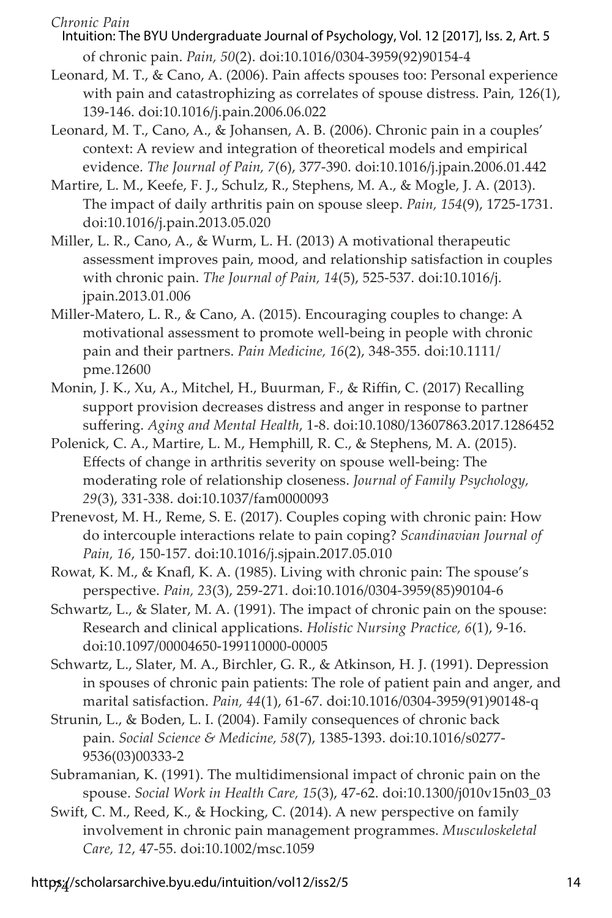- of chronic pain. *Pain, 50*(2). doi:10.1016/0304-3959(92)90154-4 Intuition: The BYU Undergraduate Journal of Psychology, Vol. 12 [2017], Iss. 2, Art. 5
- Leonard, M. T., & Cano, A. (2006). Pain affects spouses too: Personal experience with pain and catastrophizing as correlates of spouse distress. Pain, 126(1), 139-146. doi:10.1016/j.pain.2006.06.022
- Leonard, M. T., Cano, A., & Johansen, A. B. (2006). Chronic pain in a couples' context: A review and integration of theoretical models and empirical evidence. *The Journal of Pain, 7*(6), 377-390. doi:10.1016/j.jpain.2006.01.442
- Martire, L. M., Keefe, F. J., Schulz, R., Stephens, M. A., & Mogle, J. A. (2013). The impact of daily arthritis pain on spouse sleep. *Pain, 154*(9), 1725-1731. doi:10.1016/j.pain.2013.05.020
- Miller, L. R., Cano, A., & Wurm, L. H. (2013) A motivational therapeutic assessment improves pain, mood, and relationship satisfaction in couples with chronic pain. *The Journal of Pain, 14*(5), 525-537. doi:10.1016/j. jpain.2013.01.006
- Miller-Matero, L. R., & Cano, A. (2015). Encouraging couples to change: A motivational assessment to promote well-being in people with chronic pain and their partners. *Pain Medicine, 16*(2), 348-355. doi:10.1111/ pme.12600
- Monin, J. K., Xu, A., Mitchel, H., Buurman, F., & Riffin, C. (2017) Recalling support provision decreases distress and anger in response to partner suffering. *Aging and Mental Health*, 1-8. doi:10.1080/13607863.2017.1286452
- Polenick, C. A., Martire, L. M., Hemphill, R. C., & Stephens, M. A. (2015). Effects of change in arthritis severity on spouse well-being: The moderating role of relationship closeness. *Journal of Family Psychology, 29*(3), 331-338. doi:10.1037/fam0000093
- Prenevost, M. H., Reme, S. E. (2017). Couples coping with chronic pain: How do intercouple interactions relate to pain coping? *Scandinavian Journal of Pain, 16*, 150-157. doi:10.1016/j.sjpain.2017.05.010
- Rowat, K. M., & Knafl, K. A. (1985). Living with chronic pain: The spouse's perspective. *Pain, 23*(3), 259-271. doi:10.1016/0304-3959(85)90104-6
- Schwartz, L., & Slater, M. A. (1991). The impact of chronic pain on the spouse: Research and clinical applications. *Holistic Nursing Practice, 6*(1), 9-16. doi:10.1097/00004650-199110000-00005
- Schwartz, L., Slater, M. A., Birchler, G. R., & Atkinson, H. J. (1991). Depression in spouses of chronic pain patients: The role of patient pain and anger, and marital satisfaction. *Pain, 44*(1), 61-67. doi:10.1016/0304-3959(91)90148-q
- Strunin, L., & Boden, L. I. (2004). Family consequences of chronic back pain. *Social Science & Medicine, 58*(7), 1385-1393. doi:10.1016/s0277- 9536(03)00333-2
- Subramanian, K. (1991). The multidimensional impact of chronic pain on the spouse. *Social Work in Health Care, 15*(3), 47-62. doi:10.1300/j010v15n03\_03
- Swift, C. M., Reed, K., & Hocking, C. (2014). A new perspective on family involvement in chronic pain management programmes. *Musculoskeletal Care, 12*, 47-55. doi:10.1002/msc.1059